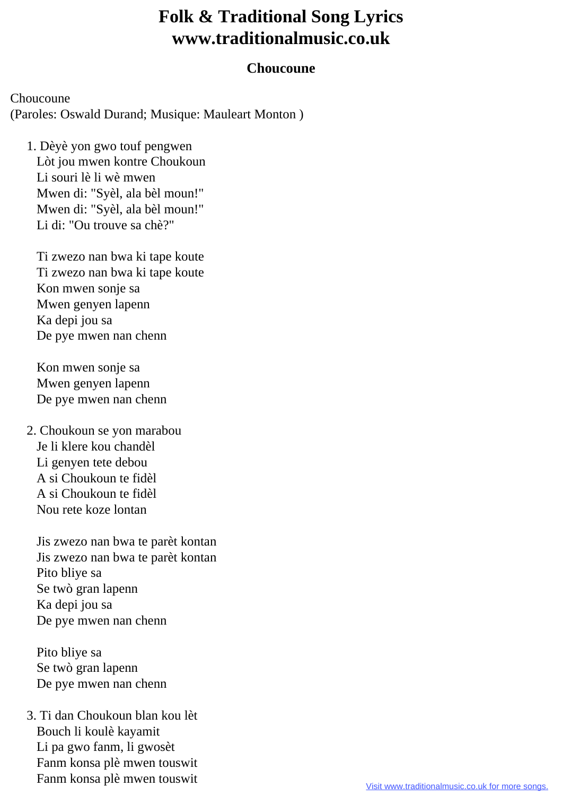## **Folk & Traditional Song Lyrics www.traditionalmusic.co.uk**

## **Choucoune**

Choucoune (Paroles: Oswald Durand; Musique: Mauleart Monton )

 1. Dèyè yon gwo touf pengwen Lòt jou mwen kontre Choukoun Li souri lè li wè mwen Mwen di: "Syèl, ala bèl moun!" Mwen di: "Syèl, ala bèl moun!" Li di: "Ou trouve sa chè?"

 Ti zwezo nan bwa ki tape koute Ti zwezo nan bwa ki tape koute Kon mwen sonje sa Mwen genyen lapenn Ka depi jou sa De pye mwen nan chenn

 Kon mwen sonje sa Mwen genyen lapenn De pye mwen nan chenn

 2. Choukoun se yon marabou Je li klere kou chandèl Li genyen tete debou A si Choukoun te fidèl A si Choukoun te fidèl Nou rete koze lontan

 Jis zwezo nan bwa te parèt kontan Jis zwezo nan bwa te parèt kontan Pito bliye sa Se twò gran lapenn Ka depi jou sa De pye mwen nan chenn

 Pito bliye sa Se twò gran lapenn De pye mwen nan chenn

 3. Ti dan Choukoun blan kou lèt Bouch li koulè kayamit Li pa gwo fanm, li gwosèt Fanm konsa plè mwen touswit Fanm konsa plè mwen touswit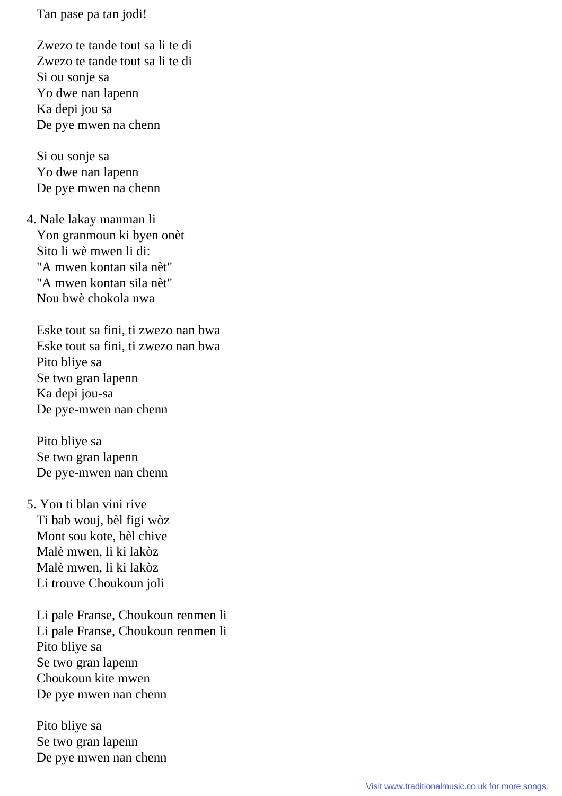Tan pase pa tan jodi!

 Zwezo te tande tout sa li te di Zwezo te tande tout sa li te di Si ou sonje sa Yo dwe nan lapenn Ka depi jou sa De pye mwen na chenn

 Si ou sonje sa Yo dwe nan lapenn De pye mwen na chenn

 4. Nale lakay manman li Yon granmoun ki byen onèt Sito li wè mwen li di: "A mwen kontan sila nèt" "A mwen kontan sila nèt" Nou bwè chokola nwa

 Eske tout sa fini, ti zwezo nan bwa Eske tout sa fini, ti zwezo nan bwa Pito bliye sa Se two gran lapenn Ka depi jou-sa De pye-mwen nan chenn

 Pito bliye sa Se two gran lapenn De pye-mwen nan chenn

 5. Yon ti blan vini rive Ti bab wouj, bèl figi wòz Mont sou kote, bèl chive Malè mwen, li ki lakòz Malè mwen, li ki lakòz Li trouve Choukoun joli

 Li pale Franse, Choukoun renmen li Li pale Franse, Choukoun renmen li Pito bliye sa Se two gran lapenn Choukoun kite mwen De pye mwen nan chenn

 Pito bliye sa Se two gran lapenn De pye mwen nan chenn